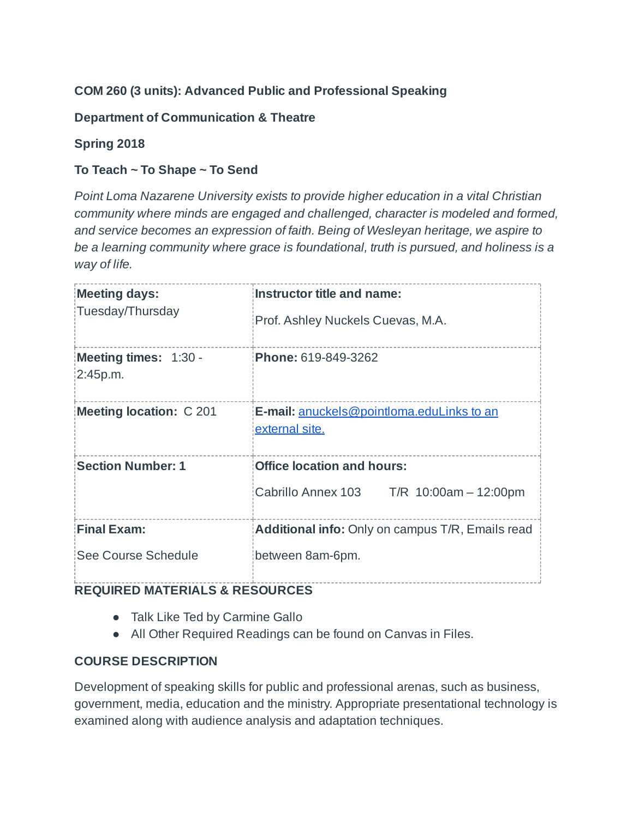# **COM 260 (3 units): Advanced Public and Professional Speaking**

## **Department of Communication & Theatre**

## **Spring 2018**

## **To Teach ~ To Shape ~ To Send**

*Point Loma Nazarene University exists to provide higher education in a vital Christian community where minds are engaged and challenged, character is modeled and formed, and service becomes an expression of faith. Being of Wesleyan heritage, we aspire to be a learning community where grace is foundational, truth is pursued, and holiness is a way of life.*

| Meeting days:<br>Tuesday/Thursday         | Instructor title and name:<br>Prof. Ashley Nuckels Cuevas, M.A.                      |
|-------------------------------------------|--------------------------------------------------------------------------------------|
| Meeting times: 1:30 -<br>2:45p.m.         | Phone: 619-849-3262                                                                  |
| Meeting location: C 201                   | E-mail: <u>anuckels@pointloma.eduLinks to an</u><br>external site.                   |
| <b>Section Number: 1</b>                  | <b>Office location and hours:</b><br>Cabrillo Annex 103<br>$T/R$ 10:00am $-$ 12:00pm |
| <b>Final Exam:</b><br>See Course Schedule | Additional info: Only on campus T/R, Emails read<br>between 8am-6pm.                 |

# **REQUIRED MATERIALS & RESOURCES**

- Talk Like Ted by Carmine Gallo
- All Other Required Readings can be found on Canvas in Files.

# **COURSE DESCRIPTION**

Development of speaking skills for public and professional arenas, such as business, government, media, education and the ministry. Appropriate presentational technology is examined along with audience analysis and adaptation techniques.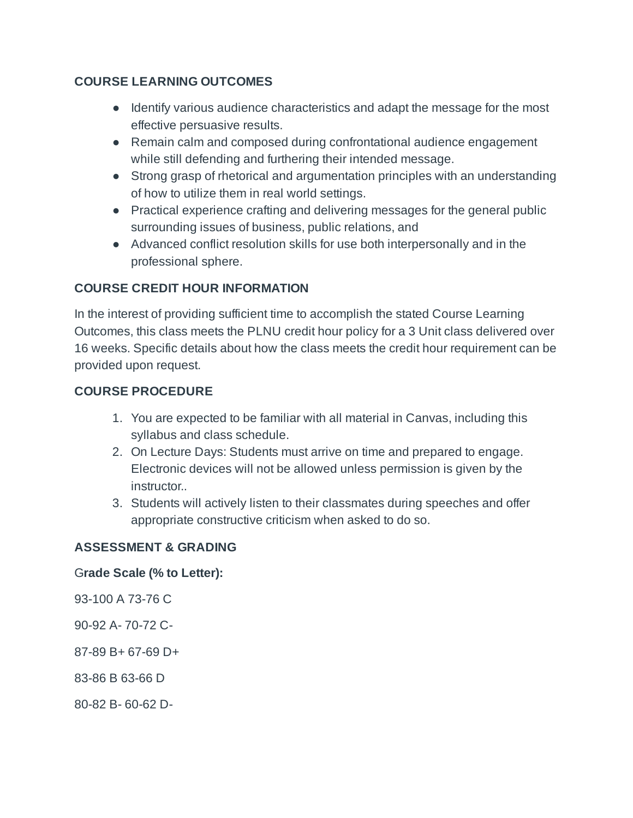#### **COURSE LEARNING OUTCOMES**

- Identify various audience characteristics and adapt the message for the most effective persuasive results.
- Remain calm and composed during confrontational audience engagement while still defending and furthering their intended message.
- Strong grasp of rhetorical and argumentation principles with an understanding of how to utilize them in real world settings.
- Practical experience crafting and delivering messages for the general public surrounding issues of business, public relations, and
- Advanced conflict resolution skills for use both interpersonally and in the professional sphere.

### **COURSE CREDIT HOUR INFORMATION**

In the interest of providing sufficient time to accomplish the stated Course Learning Outcomes, this class meets the PLNU credit hour policy for a 3 Unit class delivered over 16 weeks. Specific details about how the class meets the credit hour requirement can be provided upon request.

#### **COURSE PROCEDURE**

- 1. You are expected to be familiar with all material in Canvas, including this syllabus and class schedule.
- 2. On Lecture Days: Students must arrive on time and prepared to engage. Electronic devices will not be allowed unless permission is given by the instructor..
- 3. Students will actively listen to their classmates during speeches and offer appropriate constructive criticism when asked to do so.

### **ASSESSMENT & GRADING**

#### G**rade Scale (% to Letter):**

93-100 A 73-76 C

- 90-92 A- 70-72 C-
- 87-89 B+ 67-69 D+
- 83-86 B 63-66 D
- 80-82 B- 60-62 D-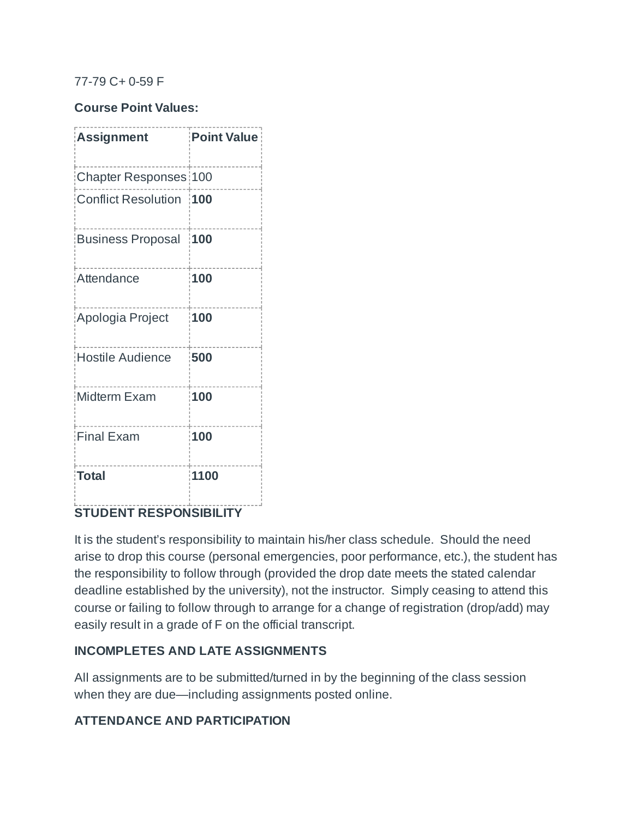#### 77-79 C+ 0-59 F

#### **Course Point Values:**

| <b>Assignment</b>            | <b>Point Value</b> |
|------------------------------|--------------------|
| <b>Chapter Responses 100</b> |                    |
| Conflict Resolution 100      |                    |
| Business Proposal            | 100                |
| Attendance                   | 100                |
| Apologia Project             | 100                |
| Hostile Audience             | 500                |
| <b>Midterm Exam</b>          | 100                |
| <b>Final Exam</b>            | 100                |
| Total                        | 1100               |

### **STUDENT RESPONSIBILITY**

It is the student's responsibility to maintain his/her class schedule. Should the need arise to drop this course (personal emergencies, poor performance, etc.), the student has the responsibility to follow through (provided the drop date meets the stated calendar deadline established by the university), not the instructor. Simply ceasing to attend this course or failing to follow through to arrange for a change of registration (drop/add) may easily result in a grade of F on the official transcript.

#### **INCOMPLETES AND LATE ASSIGNMENTS**

All assignments are to be submitted/turned in by the beginning of the class session when they are due—including assignments posted online.

### **ATTENDANCE AND PARTICIPATION**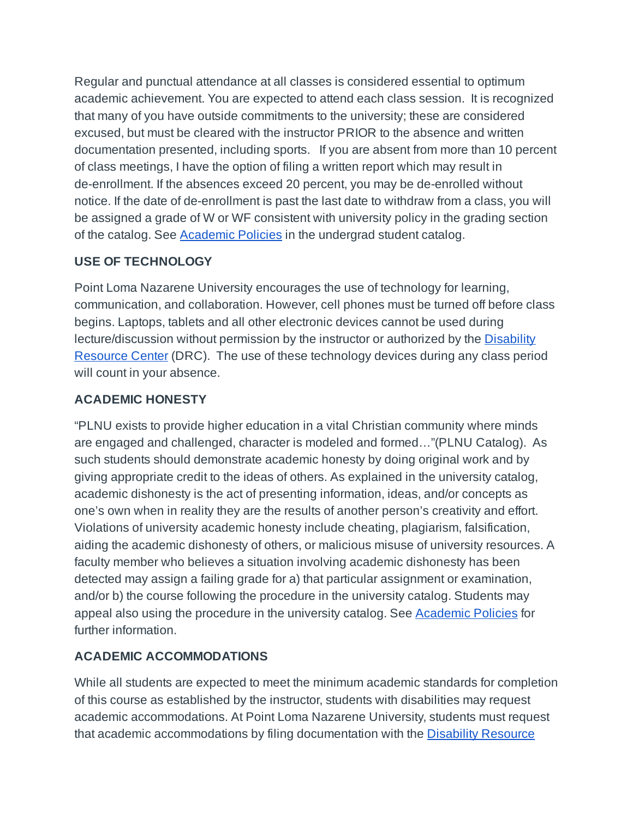Regular and punctual attendance at all classes is considered essential to optimum academic achievement. You are expected to attend each class session. It is recognized that many of you have outside commitments to the university; these are considered excused, but must be cleared with the instructor PRIOR to the absence and written documentation presented, including sports. If you are absent from more than 10 percent of class meetings, I have the option of filing a written report which may result in de-enrollment. If the absences exceed 20 percent, you may be de-enrolled without notice. If the date of de-enrollment is past the last date to withdraw from a class, you will be assigned a grade of W or WF consistent with university policy in the grading section of the catalog. See [Academic Policies](http://www.pointloma.edu/experience/academics/catalogs/undergraduate-catalog/point-loma-education/academic-policies) in the undergrad student catalog.

## **USE OF TECHNOLOGY**

Point Loma Nazarene University encourages the use of technology for learning, communication, and collaboration. However, cell phones must be turned off before class begins. Laptops, tablets and all other electronic devices cannot be used during lecture/discussion without permission by the instructor or authorized by the **[Disability](http://www.pointloma.edu/experience/offices/administrative-offices/academic-advising-office/disability-resource-center)** [Resource](http://www.pointloma.edu/experience/offices/administrative-offices/academic-advising-office/disability-resource-center) Center (DRC). The use of these technology devices during any class period will count in your absence.

## **ACADEMIC HONESTY**

"PLNU exists to provide higher education in a vital Christian community where minds are engaged and challenged, character is modeled and formed…"(PLNU Catalog). As such students should demonstrate academic honesty by doing original work and by giving appropriate credit to the ideas of others. As explained in the university catalog, academic dishonesty is the act of presenting information, ideas, and/or concepts as one's own when in reality they are the results of another person's creativity and effort. Violations of university academic honesty include cheating, plagiarism, falsification, aiding the academic dishonesty of others, or malicious misuse of university resources. A faculty member who believes a situation involving academic dishonesty has been detected may assign a failing grade for a) that particular assignment or examination, and/or b) the course following the procedure in the university catalog. Students may appeal also using the procedure in the university catalog. See [Academic Policies](http://www.pointloma.edu/experience/academics/catalogs/undergraduate-catalog/point-loma-education/academic-policies) for further information.

# **ACADEMIC ACCOMMODATIONS**

While all students are expected to meet the minimum academic standards for completion of this course as established by the instructor, students with disabilities may request academic accommodations. At Point Loma Nazarene University, students must request that academic accommodations by filing documentation with the [Disability Resource](http://www.pointloma.edu/experience/offices/administrative-offices/academic-advising-office/disability-resource-center)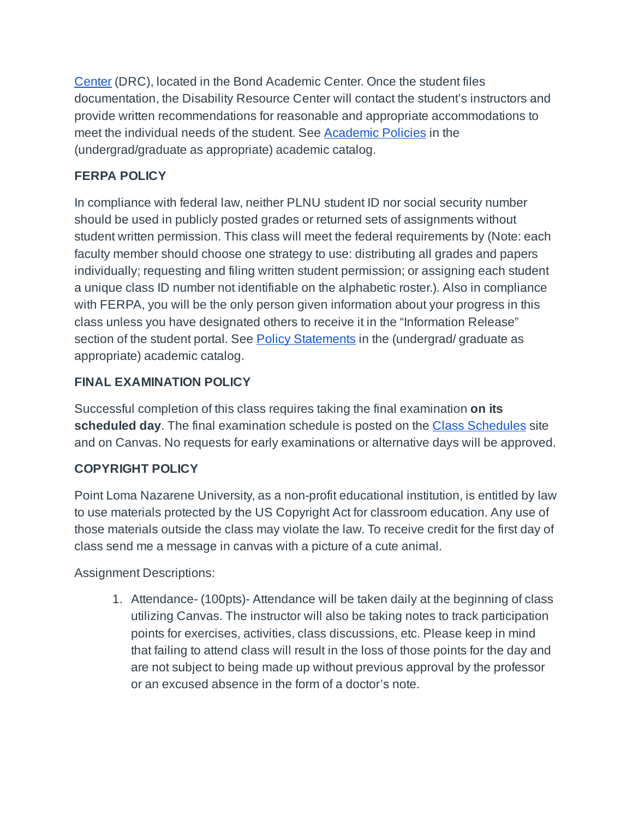[Center](http://www.pointloma.edu/experience/offices/administrative-offices/academic-advising-office/disability-resource-center) (DRC), located in the Bond Academic Center. Once the student files documentation, the Disability Resource Center will contact the student's instructors and provide written recommendations for reasonable and appropriate accommodations to meet the individual needs of the student. See [Academic Policies](http://www.pointloma.edu/experience/academics/catalogs/undergraduate-catalog/point-loma-education/academic-policies) in the (undergrad/graduate as appropriate) academic catalog.

# **FERPA POLICY**

In compliance with federal law, neither PLNU student ID nor social security number should be used in publicly posted grades or returned sets of assignments without student written permission. This class will meet the federal requirements by (Note: each faculty member should choose one strategy to use: distributing all grades and papers individually; requesting and filing written student permission; or assigning each student a unique class ID number not identifiable on the alphabetic roster.). Also in compliance with FERPA, you will be the only person given information about your progress in this class unless you have designated others to receive it in the "Information Release" section of the student portal. See **[Policy Statements](http://www.pointloma.edu/experience/academics/catalogs/undergraduate-catalog/policy-statements)** in the (undergrad/ graduate as appropriate) academic catalog.

## **FINAL EXAMINATION POLICY**

Successful completion of this class requires taking the final examination **on its scheduled day**. The final examination schedule is posted on the **[Class Schedules](http://www.pointloma.edu/experience/academics/class-schedules)** site and on Canvas. No requests for early examinations or alternative days will be approved.

### **COPYRIGHT POLICY**

Point Loma Nazarene University, as a non-profit educational institution, is entitled by law to use materials protected by the US Copyright Act for classroom education. Any use of those materials outside the class may violate the law. To receive credit for the first day of class send me a message in canvas with a picture of a cute animal.

Assignment Descriptions:

1. Attendance- (100pts)- Attendance will be taken daily at the beginning of class utilizing Canvas. The instructor will also be taking notes to track participation points for exercises, activities, class discussions, etc. Please keep in mind that failing to attend class will result in the loss of those points for the day and are not subject to being made up without previous approval by the professor or an excused absence in the form of a doctor's note.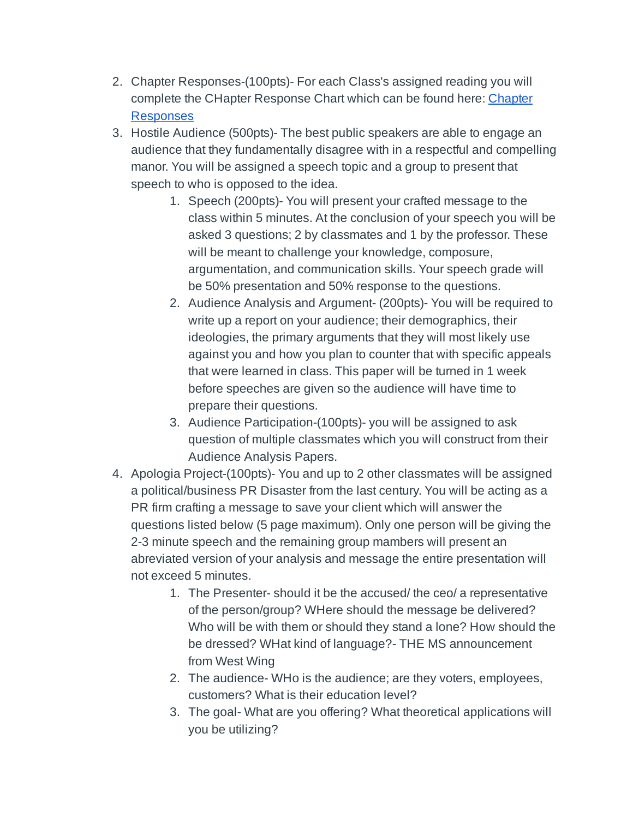- 2. Chapter Responses-(100pts)- For each Class's assigned reading you will complete the CHapter Response Chart which can be found here: [Chapter](https://canvas.pointloma.edu/courses/36577/assignments/260682) [Responses](https://canvas.pointloma.edu/courses/36577/assignments/260682)
- 3. Hostile Audience (500pts)- The best public speakers are able to engage an audience that they fundamentally disagree with in a respectful and compelling manor. You will be assigned a speech topic and a group to present that speech to who is opposed to the idea.
	- 1. Speech (200pts)- You will present your crafted message to the class within 5 minutes. At the conclusion of your speech you will be asked 3 questions; 2 by classmates and 1 by the professor. These will be meant to challenge your knowledge, composure, argumentation, and communication skills. Your speech grade will be 50% presentation and 50% response to the questions.
	- 2. Audience Analysis and Argument- (200pts)- You will be required to write up a report on your audience; their demographics, their ideologies, the primary arguments that they will most likely use against you and how you plan to counter that with specific appeals that were learned in class. This paper will be turned in 1 week before speeches are given so the audience will have time to prepare their questions.
	- 3. Audience Participation-(100pts)- you will be assigned to ask question of multiple classmates which you will construct from their Audience Analysis Papers.
- 4. Apologia Project-(100pts)- You and up to 2 other classmates will be assigned a political/business PR Disaster from the last century. You will be acting as a PR firm crafting a message to save your client which will answer the questions listed below (5 page maximum). Only one person will be giving the 2-3 minute speech and the remaining group mambers will present an abreviated version of your analysis and message the entire presentation will not exceed 5 minutes.
	- 1. The Presenter- should it be the accused/ the ceo/ a representative of the person/group? WHere should the message be delivered? Who will be with them or should they stand a lone? How should the be dressed? WHat kind of language?- THE MS announcement from West Wing
	- 2. The audience- WHo is the audience; are they voters, employees, customers? What is their education level?
	- 3. The goal- What are you offering? What theoretical applications will you be utilizing?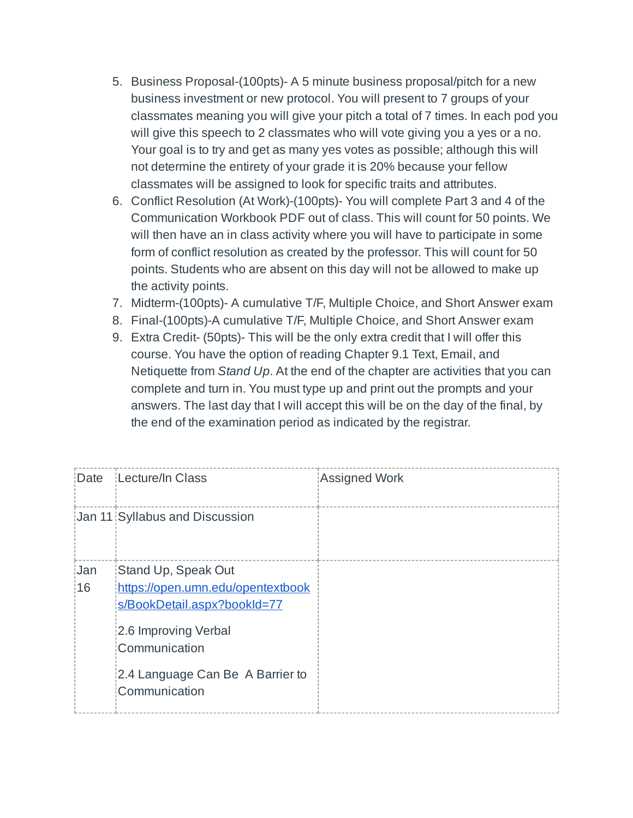- 5. Business Proposal-(100pts)- A 5 minute business proposal/pitch for a new business investment or new protocol. You will present to 7 groups of your classmates meaning you will give your pitch a total of 7 times. In each pod you will give this speech to 2 classmates who will vote giving you a yes or a no. Your goal is to try and get as many yes votes as possible; although this will not determine the entirety of your grade it is 20% because your fellow classmates will be assigned to look for specific traits and attributes.
- 6. Conflict Resolution (At Work)-(100pts)- You will complete Part 3 and 4 of the Communication Workbook PDF out of class. This will count for 50 points. We will then have an in class activity where you will have to participate in some form of conflict resolution as created by the professor. This will count for 50 points. Students who are absent on this day will not be allowed to make up the activity points.
- 7. Midterm-(100pts)- A cumulative T/F, Multiple Choice, and Short Answer exam
- 8. Final-(100pts)-A cumulative T/F, Multiple Choice, and Short Answer exam
- 9. Extra Credit- (50pts)- This will be the only extra credit that I will offer this course. You have the option of reading Chapter 9.1 Text, Email, and Netiquette from *Stand Up*. At the end of the chapter are activities that you can complete and turn in. You must type up and print out the prompts and your answers. The last day that I will accept this will be on the day of the final, by the end of the examination period as indicated by the registrar.

| Date             | Lecture/In Class                                                                                                                 | Assigned Work |
|------------------|----------------------------------------------------------------------------------------------------------------------------------|---------------|
|                  | Jan 11 Syllabus and Discussion                                                                                                   |               |
| <b>Jan</b><br>16 | Stand Up, Speak Out<br>https://open.umn.edu/opentextbook<br>s/BookDetail.aspx?bookId=77<br>2.6 Improving Verbal<br>Communication |               |
|                  | 2.4 Language Can Be A Barrier to<br>Communication                                                                                |               |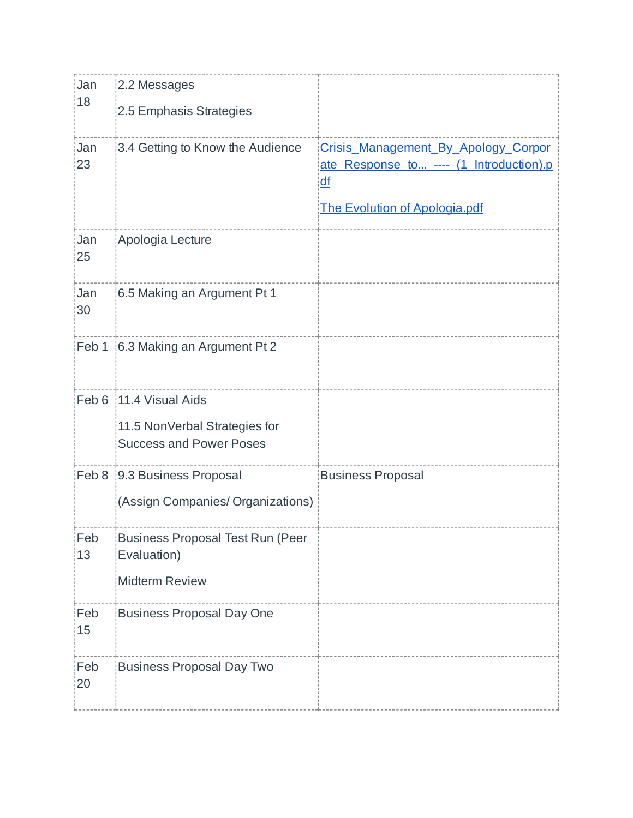| Jan<br>18        | 2.2 Messages                                           |                                          |
|------------------|--------------------------------------------------------|------------------------------------------|
|                  | 2.5 Emphasis Strategies                                |                                          |
| <b>Jan</b><br>23 | 3.4 Getting to Know the Audience                       | Crisis Management By Apology Corpor      |
|                  |                                                        | ate_Response_to_----_ (1_Introduction).p |
|                  |                                                        | df                                       |
|                  |                                                        | The Evolution of Apologia.pdf            |
| Jan<br>25        | Apologia Lecture                                       |                                          |
| <b>Jan</b><br>30 | 6.5 Making an Argument Pt 1                            |                                          |
|                  | Feb 1 6.3 Making an Argument Pt 2                      |                                          |
|                  | Feb 6 11.4 Visual Aids                                 |                                          |
|                  | 11.5 NonVerbal Strategies for                          |                                          |
|                  | <b>Success and Power Poses</b>                         |                                          |
|                  | Feb 8 9.3 Business Proposal                            | <b>Business Proposal</b>                 |
|                  | (Assign Companies/ Organizations)                      |                                          |
| Feb<br>13        | <b>Business Proposal Test Run (Peer</b><br>Evaluation) |                                          |
|                  | <b>Midterm Review</b>                                  |                                          |
| Feb<br>15        | <b>Business Proposal Day One</b>                       |                                          |
| Feb<br>20        | <b>Business Proposal Day Two</b>                       |                                          |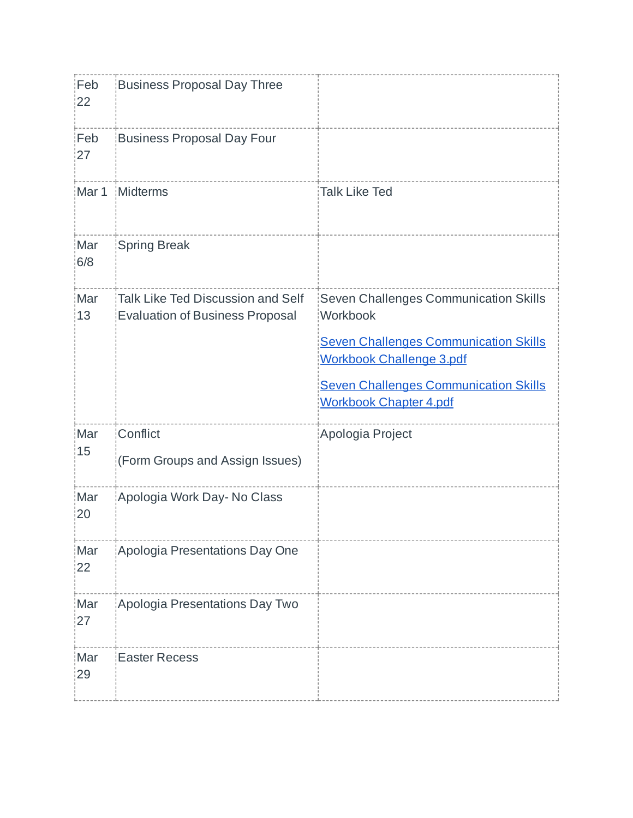| Feb<br>22  | <b>Business Proposal Day Three</b>                                          |                                                                                                                                                                                                                       |
|------------|-----------------------------------------------------------------------------|-----------------------------------------------------------------------------------------------------------------------------------------------------------------------------------------------------------------------|
| Feb<br>27  | <b>Business Proposal Day Four</b>                                           |                                                                                                                                                                                                                       |
| Mar 1      | Midterms                                                                    | <b>Talk Like Ted</b>                                                                                                                                                                                                  |
| Mar<br>6/8 | <b>Spring Break</b>                                                         |                                                                                                                                                                                                                       |
| Mar<br>13  | Talk Like Ted Discussion and Self<br><b>Evaluation of Business Proposal</b> | Seven Challenges Communication Skills<br>Workbook<br><b>Seven Challenges Communication Skills</b><br><b>Workbook Challenge 3.pdf</b><br><b>Seven Challenges Communication Skills</b><br><b>Workbook Chapter 4.pdf</b> |
| Mar<br>15  | Conflict<br>(Form Groups and Assign Issues)                                 | Apologia Project                                                                                                                                                                                                      |
| Mar<br>20  | Apologia Work Day- No Class                                                 |                                                                                                                                                                                                                       |
| Mar<br>22  | Apologia Presentations Day One                                              |                                                                                                                                                                                                                       |
| Mar<br>27  | Apologia Presentations Day Two                                              |                                                                                                                                                                                                                       |
| Mar<br>29  | <b>Easter Recess</b>                                                        |                                                                                                                                                                                                                       |